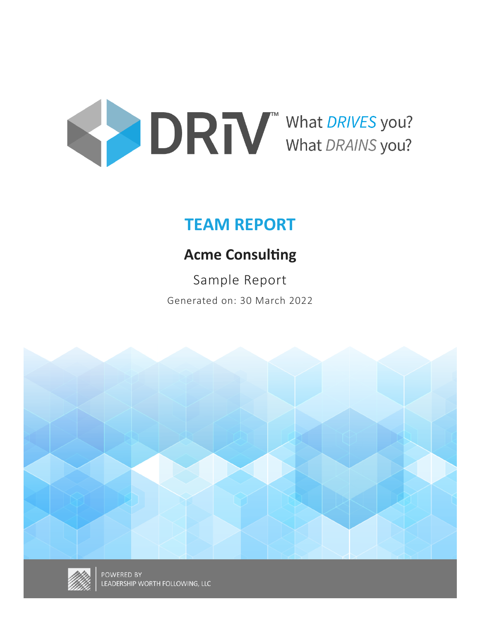

# **TEAM REPORT**

# **Acme Consulting**

Sample Report Generated on: 30 March 2022



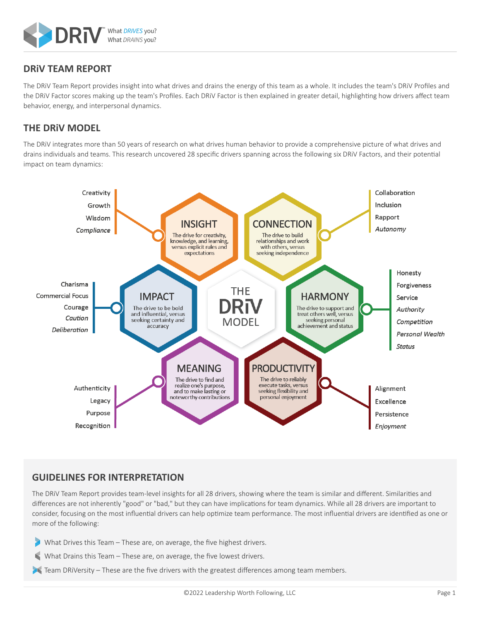

### **DRiV TEAM REPORT**

The DRiV Team Report provides insight into what drives and drains the energy of this team as a whole. It includes the team's DRiV Profiles and the DRiV Factor scores making up the team's Profiles. Each DRiV Factor is then explained in greater detail, highlighting how drivers affect team behavior, energy, and interpersonal dynamics.

### **THE DRiV MODEL**

The DRiV integrates more than 50 years of research on what drives human behavior to provide a comprehensive picture of what drives and drains individuals and teams. This research uncovered 28 specific drivers spanning across the following six DRiV Factors, and their potential impact on team dynamics:



### **GUIDELINES FOR INTERPRETATION**

The DRiV Team Report provides team-level insights for all 28 drivers, showing where the team is similar and different. Similarities and differences are not inherently "good" or "bad," but they can have implications for team dynamics. While all 28 drivers are important to consider, focusing on the most influential drivers can help optimize team performance. The most influential drivers are identified as one or more of the following:

What Drives this Team – These are, on average, the five highest drivers.

What Drains this Team – These are, on average, the five lowest drivers.

Team DRiVersity – These are the five drivers with the greatest differences among team members.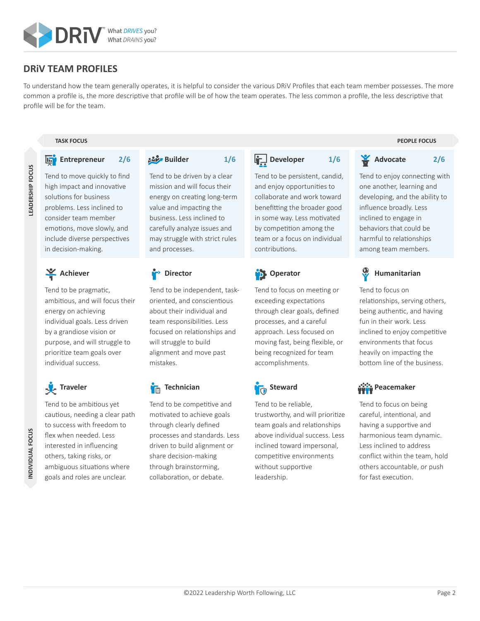

### **DRiV TEAM PROFILES**

To understand how the team generally operates, it is helpful to consider the various DRiV Profiles that each team member possesses. The more common a profile is, the more descriptive that profile will be of how the team operates. The less common a profile, the less descriptive that profile will be for the team.

#### **Entrepreneur 2/6**

Tend to move quickly to find high impact and innovative solutions for business problems. Less inclined to consider team member emotions, move slowly, and include diverse perspectives in decision-making.

### Achiever

Tend to be pragmatic, ambitious, and will focus their energy on achieving individual goals. Less driven by a grandiose vision or purpose, and will struggle to prioritize team goals over individual success.

## **Traveler**

Tend to be ambitious yet cautious, needing a clear path to success with freedom to flex when needed. Less interested in influencing others, taking risks, or ambiguous situations where goals and roles are unclear.

Tend to be driven by a clear mission and will focus their energy on creating long-term value and impacting the business. Less inclined to carefully analyze issues and may struggle with strict rules and processes.

**Builder 1/6**

**Director**

Tend to be independent, taskoriented, and conscientious about their individual and team responsibilities. Less focused on relationships and will struggle to build alignment and move past mistakes.

### **Technician**

Tend to be competitive and motivated to achieve goals through clearly defined processes and standards. Less driven to build alignment or share decision-making through brainstorming, collaboration, or debate.

**Developer 1/6** 

Tend to be persistent, candid, and enjoy opportunities to

collaborate and work toward benefitting the broader good in some way. Less motivated by competition among the team or a focus on individual contributions.

### **D** Operator

Tend to focus on meeting or exceeding expectations through clear goals, defined processes, and a careful approach. Less focused on moving fast, being flexible, or being recognized for team accomplishments.

### **In** Steward

Tend to be reliable, trustworthy, and will prioritize team goals and relationships above individual success. Less inclined toward impersonal, competitive environments without supportive leadership.

#### **TASK FOCUS PEOPLE FOCUS**

Tend to enjoy connecting with one another, learning and developing, and the ability to influence broadly. Less inclined to engage in behaviors that could be harmful to relationships among team members.

**Advocate 2/6**

**Humanitarian**

Tend to focus on relationships, serving others, being authentic, and having fun in their work. Less inclined to enjoy competitive environments that focus heavily on impacting the bottom line of the business.

### **ผู้นี้จ**ู้ Peacemaker

Tend to focus on being careful, intentional, and having a supportive and harmonious team dynamic. Less inclined to address conflict within the team, hold others accountable, or push for fast execution.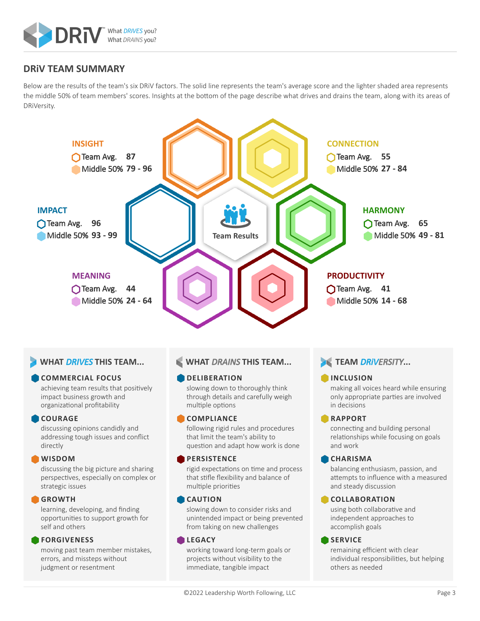

### **DRiV TEAM SUMMARY**

Below are the results of the team's six DRiV factors. The solid line represents the team's average score and the lighter shaded area represents the middle 50% of team members' scores. Insights at the bottom of the page describe what drives and drains the team, along with its areas of DRiVersity.



#### **WHAT DRIVES THIS TEAM...**

#### **COMMERCIAL FOCUS**

achieving team results that positively impact business growth and organizational profitability

#### **COURAGE**

discussing opinions candidly and addressing tough issues and conflict directly

#### **WISDOM**

discussing the big picture and sharing perspectives, especially on complex or strategic issues

#### **GROWTH**

learning, developing, and finding opportunities to support growth for self and others

#### **FORGIVENESS**

moving past team member mistakes, errors, and missteps without judgment or resentment

#### **WHAT** *DRAINS* **THIS TEAM...**

#### **DELIBERATION**

slowing down to thoroughly think through details and carefully weigh multiple options

#### **COMPLIANCE**

following rigid rules and procedures that limit the team's ability to question and adapt how work is done

#### **PERSISTENCE**

rigid expectations on time and process that stifle flexibility and balance of multiple priorities

#### **CAUTION**

slowing down to consider risks and unintended impact or being prevented from taking on new challenges

#### **LEGACY**

working toward long-term goals or projects without visibility to the immediate, tangible impact

### **TEAM DRIVERSITY...**

#### **INCLUSION**

making all voices heard while ensuring only appropriate parties are involved in decisions

#### **RAPPORT**

connecting and building personal relationships while focusing on goals and work

#### **CHARISMA**

balancing enthusiasm, passion, and attempts to influence with a measured and steady discussion

#### **COLLABORATION**

using both collaborative and independent approaches to accomplish goals

#### **SERVICE**

remaining efficient with clear individual responsibilities, but helping others as needed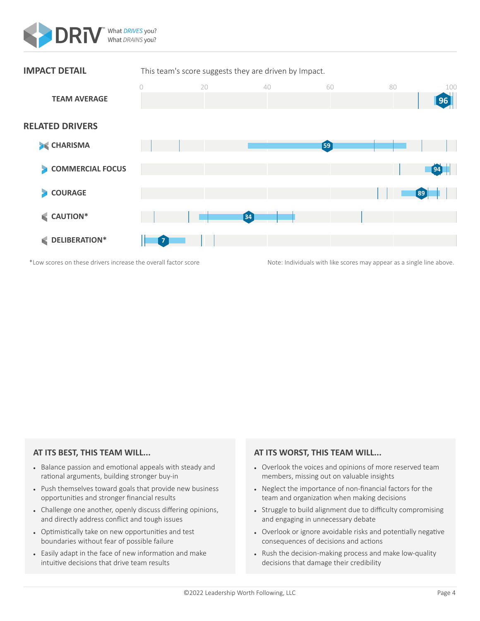



#### **AT ITS BEST, THIS TEAM WILL...**

- Balance passion and emotional appeals with steady and rational arguments, building stronger buy-in
- Push themselves toward goals that provide new business opportunities and stronger financial results
- Challenge one another, openly discuss differing opinions, and directly address conflict and tough issues
- Optimistically take on new opportunities and test boundaries without fear of possible failure
- Easily adapt in the face of new information and make intuitive decisions that drive team results

- Overlook the voices and opinions of more reserved team members, missing out on valuable insights
- Neglect the importance of non-financial factors for the team and organization when making decisions
- Struggle to build alignment due to difficulty compromising and engaging in unnecessary debate
- Overlook or ignore avoidable risks and potentially negative consequences of decisions and actions
- Rush the decision-making process and make low-quality decisions that damage their credibility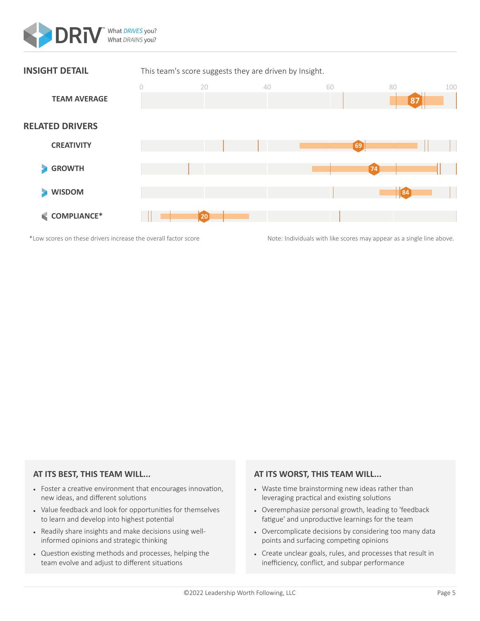



#### **AT ITS BEST, THIS TEAM WILL...**

- Foster a creative environment that encourages innovation, new ideas, and different solutions
- Value feedback and look for opportunities for themselves to learn and develop into highest potential
- Readily share insights and make decisions using wellinformed opinions and strategic thinking
- Question existing methods and processes, helping the team evolve and adjust to different situations

- Waste time brainstorming new ideas rather than leveraging practical and existing solutions
- Overemphasize personal growth, leading to 'feedback fatigue' and unproductive learnings for the team
- Overcomplicate decisions by considering too many data points and surfacing competing opinions
- Create unclear goals, rules, and processes that result in inefficiency, conflict, and subpar performance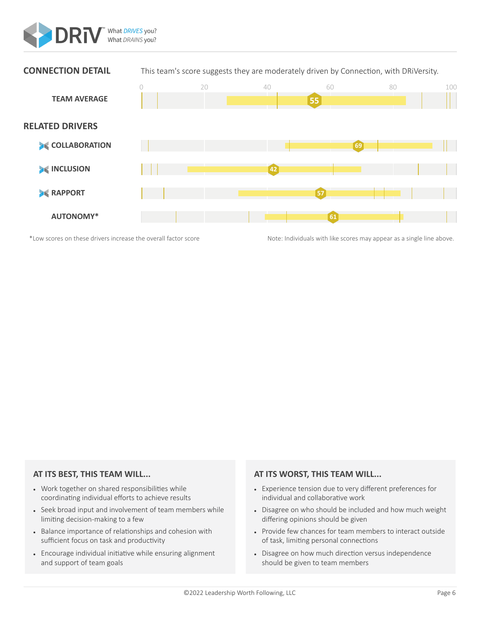



#### **AT ITS BEST, THIS TEAM WILL...**

- Work together on shared responsibilities while coordinating individual efforts to achieve results
- Seek broad input and involvement of team members while limiting decision-making to a few
- Balance importance of relationships and cohesion with sufficient focus on task and productivity
- Encourage individual initiative while ensuring alignment and support of team goals

- Experience tension due to very different preferences for individual and collaborative work
- Disagree on who should be included and how much weight differing opinions should be given
- Provide few chances for team members to interact outside of task, limiting personal connections
- Disagree on how much direction versus independence should be given to team members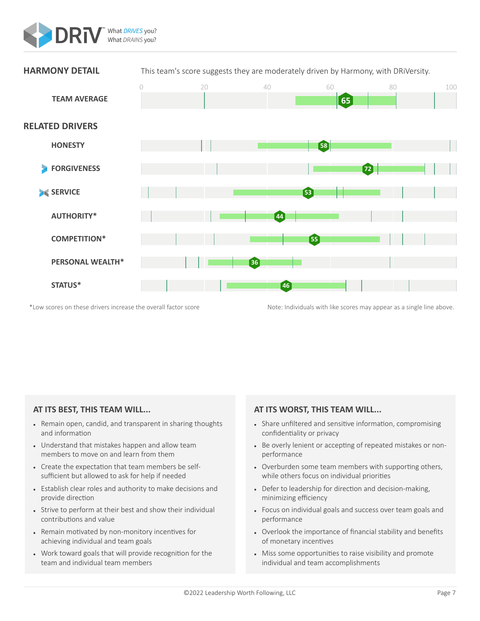



#### **AT ITS BEST, THIS TEAM WILL...**

- Remain open, candid, and transparent in sharing thoughts and information
- Understand that mistakes happen and allow team members to move on and learn from them
- Create the expectation that team members be selfsufficient but allowed to ask for help if needed
- Establish clear roles and authority to make decisions and provide direction
- Strive to perform at their best and show their individual contributions and value
- Remain motivated by non-monitory incentives for achieving individual and team goals
- Work toward goals that will provide recognition for the team and individual team members

- Share unfiltered and sensitive information, compromising confidentiality or privacy
- Be overly lenient or accepting of repeated mistakes or nonperformance
- Overburden some team members with supporting others, while others focus on individual priorities
- Defer to leadership for direction and decision-making, minimizing efficiency
- Focus on individual goals and success over team goals and performance
- Overlook the importance of financial stability and benefits of monetary incentives
- Miss some opportunities to raise visibility and promote individual and team accomplishments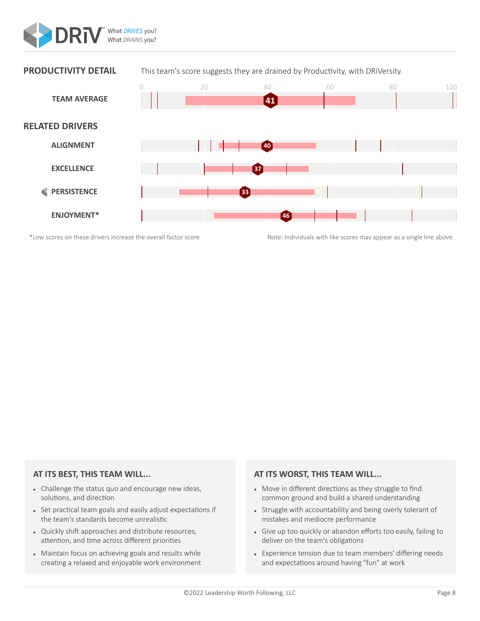



#### **AT ITS BEST, THIS TEAM WILL...**

- Challenge the status quo and encourage new ideas, solutions, and direction
- Set practical team goals and easily adjust expectations if the team's standards become unrealistic
- Quickly shift approaches and distribute resources, attention, and time across different priorities
- Maintain focus on achieving goals and results while creating a relaxed and enjoyable work environment

- Move in different directions as they struggle to find common ground and build a shared understanding
- Struggle with accountability and being overly tolerant of mistakes and mediocre performance
- Give up too quickly or abandon efforts too easily, failing to deliver on the team's obligations
- Experience tension due to team members' differing needs and expectations around having "fun" at work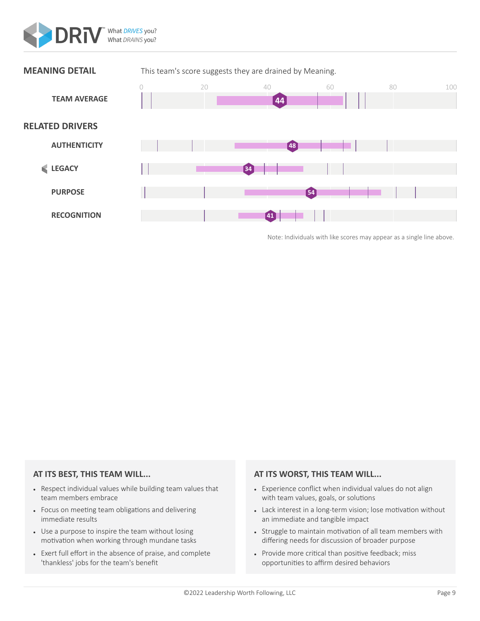



Note: Individuals with like scores may appear as a single line above.

#### **AT ITS BEST, THIS TEAM WILL...**

- Respect individual values while building team values that team members embrace
- Focus on meeting team obligations and delivering immediate results
- Use a purpose to inspire the team without losing motivation when working through mundane tasks
- Exert full effort in the absence of praise, and complete 'thankless' jobs for the team's benefit

- Experience conflict when individual values do not align with team values, goals, or solutions
- Lack interest in a long-term vision; lose motivation without an immediate and tangible impact
- Struggle to maintain motivation of all team members with differing needs for discussion of broader purpose
- Provide more critical than positive feedback; miss opportunities to affirm desired behaviors